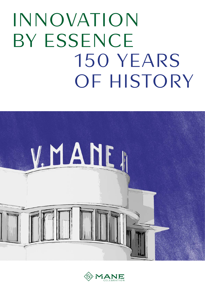# INNOVATION BY ESSENCE 150 YEARS OF HISTORY



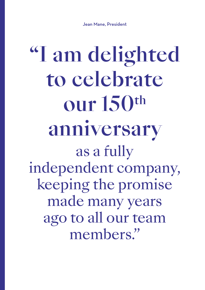Jean Mane, President

"I am delighted to celebrate our 150th anniversary as a fully independent company, keeping the promise made many years ago to all our team members."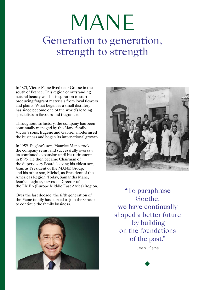## MANE Generation to generation, strength to strength

In 1871, Victor Mane lived near Grasse in the south of France. This region of outstanding natural beauty was his inspiration to start producing fragrant materials from local flowers and plants. What began as a small distillery has since become one of the world's leading specialists in flavours and fragrance.

Throughout its history, the company has been continually managed by the Mane family. Victor's sons, Eugène and Gabriel, modernised the business and began its international growth.

In 1959, Eugène's son, Maurice Mane, took the company reins, and successfully oversaw its continued expansion until his retirement in 1995. He then became Chairman of the Supervisory Board, leaving his eldest son, Jean, as President of the MANE Group, and his other son, Michel, as President of the Americas Region. Today, Samantha Mane, Jean's daughter, serves as Director of the EMEA (Europe Middle East Africa) Region.

Over the last decade, the fifth generation of the Mane family has started to join the Group to continue the family business.





"To paraphrase Goethe, we have continually shaped a better future by building on the foundations of the past."

Jean Mane

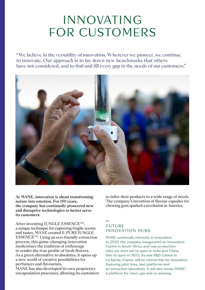### INNOVATING FOR CUSTOMERS

"We believe in the versatility of innovation. Wherever we pioneer, we continue to innovate. Our approach is to lay down new benchmarks that others have not considered, and to find and fill every gap in the needs of our customers."



At MANE, innovation is about transforming nature into emotion. For 150 years, the company has continually pioneered new and disruptive technologies to better serve its customers.

After inventing JUNGLE ESSENCE<sup>TM</sup>, a unique technique for capturing fragile scents and tastes, MANE created E-PURE JUNGLE ESSENCETM. Using an eco-friendly extraction process, this game-changing innovation modernises the tradition of enfleurage to render the true profile of fresh flowers. As a green alternative to absolutes, it opens up a new world of creative possibilities for perfumers and flavourists.

MANE has also developed its own proprietary encapsulation processes, allowing its customers to tailor their products to a wide range of needs. The company's invention of flavour capsules for chewing gum sparked a revolution in America.

### — FUTURE INNOVATION HUBS

MANE continually reinvests in innovation. In 2020, the company inaugurated an Innovation Centre in South Africa and new production sites are soon set to open in India and China. Due to open in 2023, its new R&D Centre in La Sarrée, France, will be central hub for innovation, featuring pilot lines, test platforms and an extraction laboratory. It will also house MANE<sup>3</sup>, a platform for start-ups and co-working.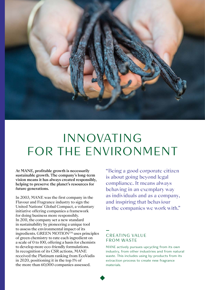

### INNOVATING FOR THE ENVIRONMENT

At MANE, profitable growth is necessarily sustainable growth. The company's long-term vision means it has always created responsibly, helping to preserve the planet's resources for future generations.

In 2003, MANE was the first company in the Flavour and Fragrance industry to sign the United Nations' Global Compact, a voluntary initiative offering companies a framework for doing business more responsibly. In 2011, the company set a new standard in sustainability by pioneering a unique tool to assess the environmental impact of its ingredients. GREEN MOTIONTM uses principles of green chemistry to rate each ingredient on a scale of 0 to 100, offering a basis for chemists to develop more eco-friendly formulations. In recognition of its CSR actions, MANE received the Platinum ranking from EcoVadis in 2020, positioning it in the top 1% of the more than 60,000 companies assessed.

"Being a good corporate citizen is about going beyond legal compliance. It means always behaving in an exemplary way as individuals and as a company, and inspiring that behaviour in the companies we work with."

#### — CREATING VALUE FROM WASTE

MANE actively pursues upcycling from its own industry, from other industries and from natural waste. This includes using by-products from its extraction process to create new fragrance materials.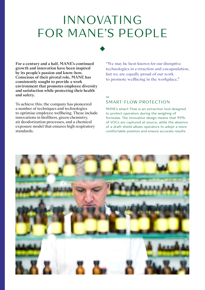### INNOVATING FOR MANE'S PEOPLE

For a century and a half, MANE's continued growth and innovation have been inspired by its people's passion and know-how. Conscious of their pivotal role, MANE has consistently sought to provide a work environment that promotes employee diversity and satisfaction while protecting their health and safety.

To achieve this, the company has pioneered a number of techniques and technologies to optimise employee wellbeing. These include innovations in biofilters, green chemistry, air deodorization processes, and a chemical exposure model that ensures high respiratory standards.

"We may be best-known for our disruptive technologies in extraction and encapsulation, but we are equally proud of our work to promote wellbeing in the workplace."

### — SMART-FLOW PROTECTION

MANE's smart-Flow is an extraction tool designed to protect operators during the weighing of formulas. The innovative design means that 99% of VOCs are captured at source, while the absence of a draft shield allows operators to adopt a more comfortable position and ensure accurate results.

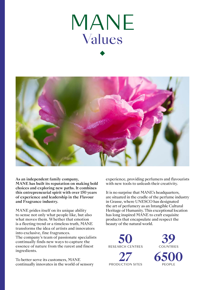



As an independent family company, MANE has built its reputation on making bold choices and exploring new paths. It combines this entrepreneurial spirit with over 150 years of experience and leadership in the Flavour and Fragrance industry.

MANE prides itself on its unique ability to sense not only what people like, but also what moves them. Whether that emotion is a fleeting trend or a timeless truth, MANE transforms the idea of artists and innovators into exclusive, fine fragrances.

The company's team of passionate specialists continually finds new ways to capture the essence of nature from the rarest and finest ingredients.

To better serve its customers, MANE continually innovates in the world of sensory experience, providing perfumers and flavourists with new tools to unleash their creativity.

It is no surprise that MANE's headquarters, are situated in the cradle of the perfume industry in Grasse, where UNESCO has designated the art of perfumery as an Intangible Cultural Heritage of Humanity. This exceptional location has long inspired MANE to craft exquisite products that encapsulate and respect the beauty of the natural world.



**27** PRODUCTION SITES